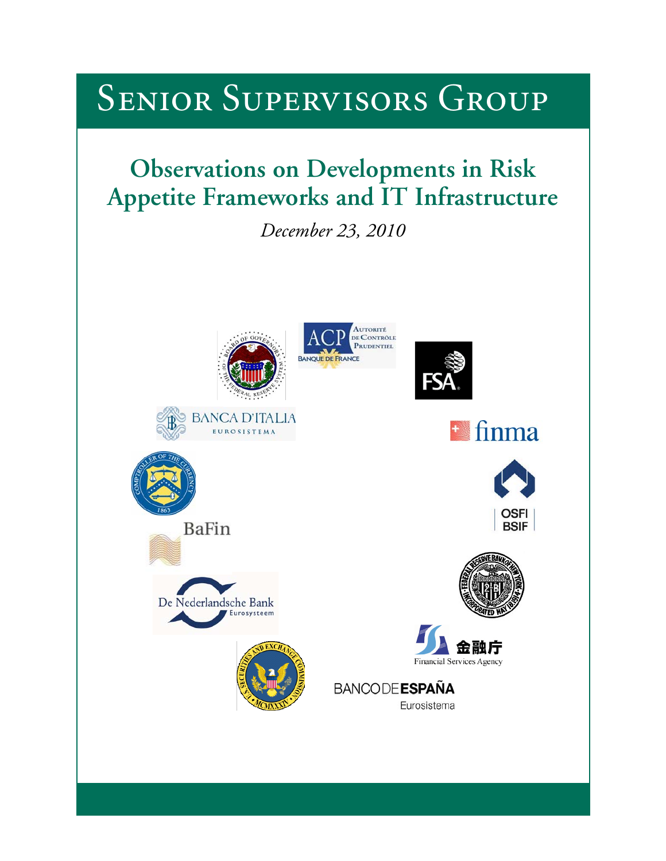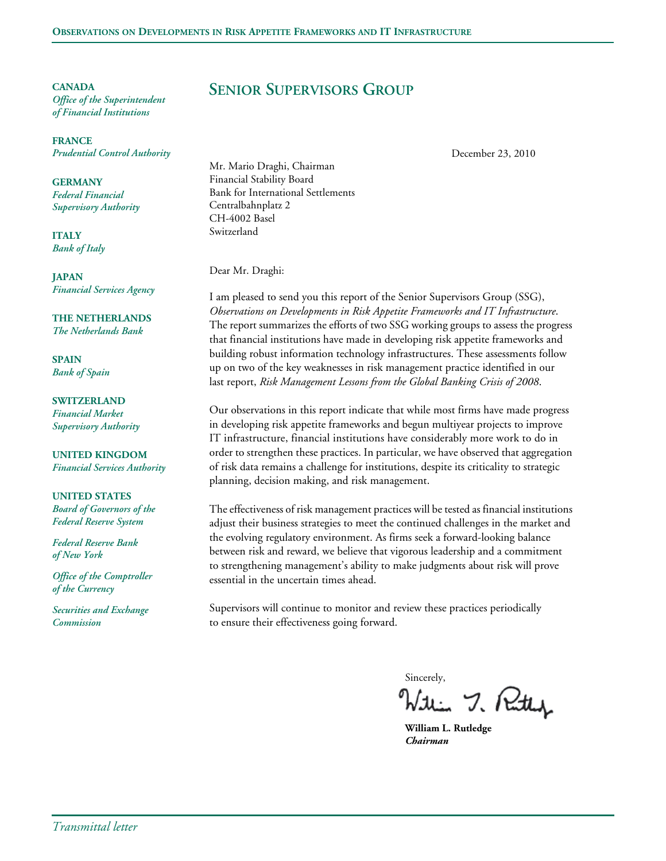**CANADA** *Office of the Superintendent of Financial Institutions*

**FRANCE** *Prudential Control Authority*

**GERMANY** *Federal Financial Supervisory Authority*

**ITALY** *Bank of Italy*

**JAPAN** *Financial Services Agency*

**THE NETHERLANDS** *The Netherlands Bank*

**SPAIN** *Bank of Spain*

**SWITZERLAND** *Financial Market Supervisory Authority*

**UNITED KINGDOM** *Financial Services Authority*

**UNITED STATES** *Board of Governors of the Federal Reserve System*

*Federal Reserve Bank of New York*

*Office of the Comptroller of the Currency*

*Securities and Exchange Commission*

# **SENIOR SUPERVISORS GROUP**

December 23, 2010

Mr. Mario Draghi, Chairman Financial Stability Board Bank for International Settlements Centralbahnplatz 2 CH-4002 Basel Switzerland

Dear Mr. Draghi:

I am pleased to send you this report of the Senior Supervisors Group (SSG), *Observations on Developments in Risk Appetite Frameworks and IT Infrastructure*. The report summarizes the efforts of two SSG working groups to assess the progress that financial institutions have made in developing risk appetite frameworks and building robust information technology infrastructures. These assessments follow up on two of the key weaknesses in risk management practice identified in our last report, *Risk Management Lessons from the Global Banking Crisis of 2008*.

Our observations in this report indicate that while most firms have made progress in developing risk appetite frameworks and begun multiyear projects to improve IT infrastructure, financial institutions have considerably more work to do in order to strengthen these practices. In particular, we have observed that aggregation of risk data remains a challenge for institutions, despite its criticality to strategic planning, decision making, and risk management.

The effectiveness of risk management practices will be tested as financial institutions adjust their business strategies to meet the continued challenges in the market and the evolving regulatory environment. As firms seek a forward-looking balance between risk and reward, we believe that vigorous leadership and a commitment to strengthening management's ability to make judgments about risk will prove essential in the uncertain times ahead.

Supervisors will continue to monitor and review these practices periodically to ensure their effectiveness going forward.

sincerely,<br>Within 7. Puthy

**William L. Rutledge** *Chairman*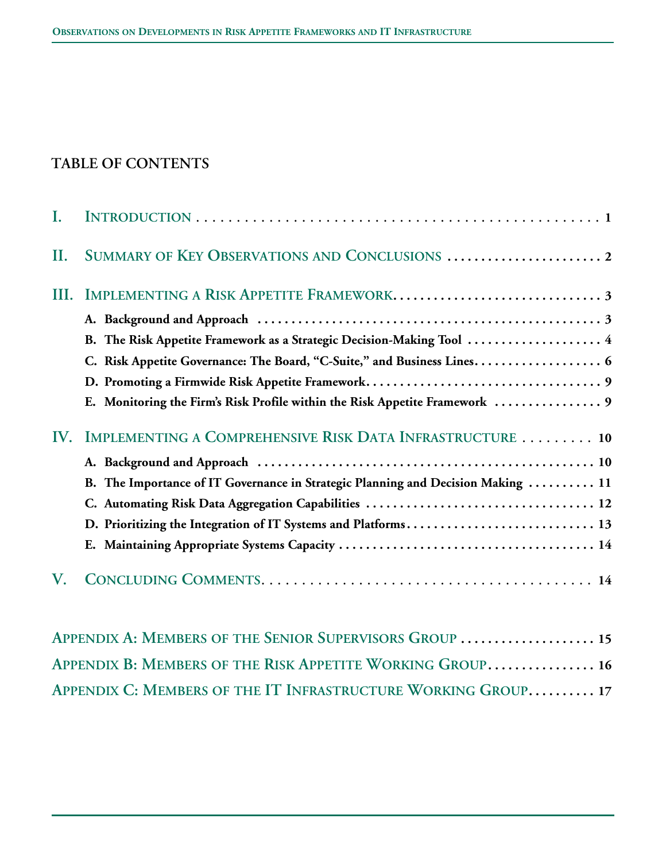# **TABLE OF CONTENTS**

| L   |                                                                                  |
|-----|----------------------------------------------------------------------------------|
| Н.  | SUMMARY OF KEY OBSERVATIONS AND CONCLUSIONS  2                                   |
| Ш.  |                                                                                  |
|     |                                                                                  |
|     | B. The Risk Appetite Framework as a Strategic Decision-Making Tool  4            |
|     |                                                                                  |
|     |                                                                                  |
|     |                                                                                  |
| IV. | IMPLEMENTING A COMPREHENSIVE RISK DATA INFRASTRUCTURE  10                        |
|     |                                                                                  |
|     | B. The Importance of IT Governance in Strategic Planning and Decision Making  11 |
|     |                                                                                  |
|     | D. Prioritizing the Integration of IT Systems and Platforms 13                   |
|     |                                                                                  |
| V.  |                                                                                  |

| APPENDIX A: MEMBERS OF THE SENIOR SUPERVISORS GROUP  15       |  |
|---------------------------------------------------------------|--|
| APPENDIX B: MEMBERS OF THE RISK APPETITE WORKING GROUP 16     |  |
| APPENDIX C: MEMBERS OF THE IT INFRASTRUCTURE WORKING GROUP 17 |  |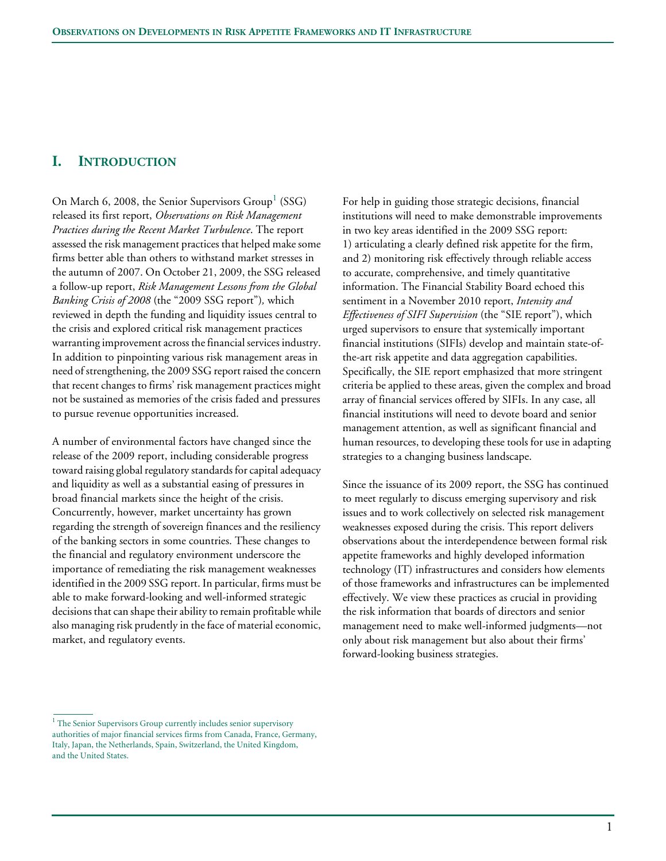# **I. INTRODUCTION**

On March 6, 2008, the Senior Supervisors  $Group^1$  (SSG) released its first report, *Observations on Risk Management Practices during the Recent Market Turbulence*. The report assessed the risk management practices that helped make some firms better able than others to withstand market stresses in the autumn of 2007. On October 21, 2009, the SSG released a follow-up report, *Risk Management Lessons from the Global Banking Crisis of 2008* (the "2009 SSG report")*,* which reviewed in depth the funding and liquidity issues central to the crisis and explored critical risk management practices warranting improvement across the financial services industry. In addition to pinpointing various risk management areas in need of strengthening, the 2009 SSG report raised the concern that recent changes to firms' risk management practices might not be sustained as memories of the crisis faded and pressures to pursue revenue opportunities increased.

A number of environmental factors have changed since the release of the 2009 report, including considerable progress toward raising global regulatory standards for capital adequacy and liquidity as well as a substantial easing of pressures in broad financial markets since the height of the crisis. Concurrently, however, market uncertainty has grown regarding the strength of sovereign finances and the resiliency of the banking sectors in some countries. These changes to the financial and regulatory environment underscore the importance of remediating the risk management weaknesses identified in the 2009 SSG report. In particular, firms must be able to make forward-looking and well-informed strategic decisions that can shape their ability to remain profitable while also managing risk prudently in the face of material economic, market, and regulatory events.

For help in guiding those strategic decisions, financial institutions will need to make demonstrable improvements in two key areas identified in the 2009 SSG report: 1) articulating a clearly defined risk appetite for the firm, and 2) monitoring risk effectively through reliable access to accurate, comprehensive, and timely quantitative information. The Financial Stability Board echoed this sentiment in a November 2010 report, *Intensity and Effectiveness of SIFI Supervision* (the "SIE report"), which urged supervisors to ensure that systemically important financial institutions (SIFIs) develop and maintain state-ofthe-art risk appetite and data aggregation capabilities. Specifically, the SIE report emphasized that more stringent criteria be applied to these areas, given the complex and broad array of financial services offered by SIFIs. In any case, all financial institutions will need to devote board and senior management attention, as well as significant financial and human resources, to developing these tools for use in adapting strategies to a changing business landscape.

Since the issuance of its 2009 report, the SSG has continued to meet regularly to discuss emerging supervisory and risk issues and to work collectively on selected risk management weaknesses exposed during the crisis. This report delivers observations about the interdependence between formal risk appetite frameworks and highly developed information technology (IT) infrastructures and considers how elements of those frameworks and infrastructures can be implemented effectively. We view these practices as crucial in providing the risk information that boards of directors and senior management need to make well-informed judgments—not only about risk management but also about their firms' forward-looking business strategies.

<sup>&</sup>lt;sup>1</sup> The Senior Supervisors Group currently includes senior supervisory authorities of major financial services firms from Canada, France, Germany, Italy, Japan, the Netherlands, Spain, Switzerland, the United Kingdom, and the United States.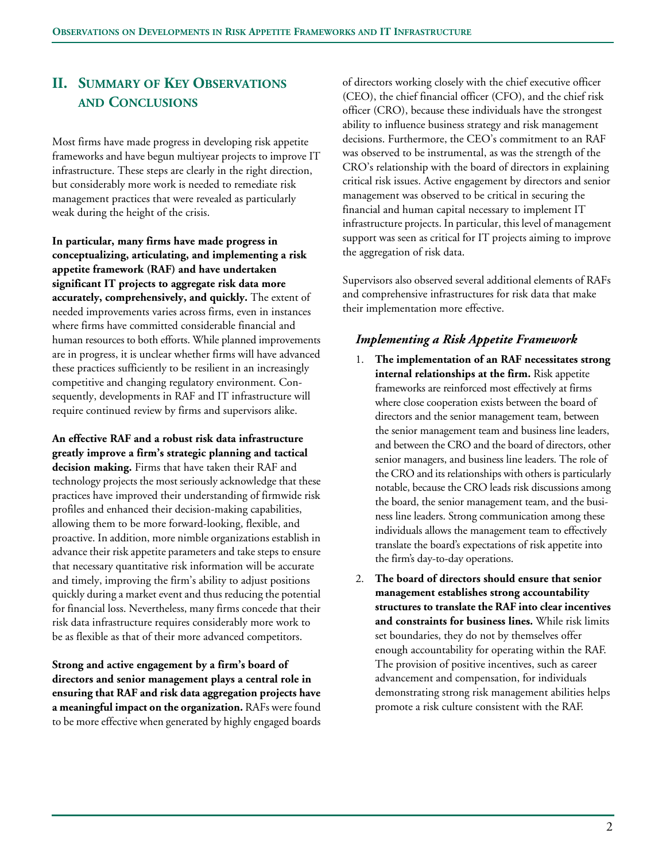# **II. SUMMARY OF KEY OBSERVATIONS AND CONCLUSIONS**

Most firms have made progress in developing risk appetite frameworks and have begun multiyear projects to improve IT infrastructure. These steps are clearly in the right direction, but considerably more work is needed to remediate risk management practices that were revealed as particularly weak during the height of the crisis.

**In particular, many firms have made progress in conceptualizing, articulating, and implementing a risk appetite framework (RAF) and have undertaken significant IT projects to aggregate risk data more accurately, comprehensively, and quickly.** The extent of needed improvements varies across firms, even in instances where firms have committed considerable financial and human resources to both efforts. While planned improvements are in progress, it is unclear whether firms will have advanced these practices sufficiently to be resilient in an increasingly competitive and changing regulatory environment. Consequently, developments in RAF and IT infrastructure will require continued review by firms and supervisors alike.

**An effective RAF and a robust risk data infrastructure greatly improve a firm's strategic planning and tactical decision making.** Firms that have taken their RAF and technology projects the most seriously acknowledge that these practices have improved their understanding of firmwide risk profiles and enhanced their decision-making capabilities, allowing them to be more forward-looking, flexible, and proactive. In addition, more nimble organizations establish in advance their risk appetite parameters and take steps to ensure that necessary quantitative risk information will be accurate and timely, improving the firm's ability to adjust positions quickly during a market event and thus reducing the potential for financial loss. Nevertheless, many firms concede that their risk data infrastructure requires considerably more work to be as flexible as that of their more advanced competitors.

**Strong and active engagement by a firm's board of directors and senior management plays a central role in ensuring that RAF and risk data aggregation projects have a meaningful impact on the organization.** RAFs were found to be more effective when generated by highly engaged boards of directors working closely with the chief executive officer (CEO), the chief financial officer (CFO), and the chief risk officer (CRO), because these individuals have the strongest ability to influence business strategy and risk management decisions. Furthermore, the CEO's commitment to an RAF was observed to be instrumental, as was the strength of the CRO's relationship with the board of directors in explaining critical risk issues. Active engagement by directors and senior management was observed to be critical in securing the financial and human capital necessary to implement IT infrastructure projects. In particular, this level of management support was seen as critical for IT projects aiming to improve the aggregation of risk data.

Supervisors also observed several additional elements of RAFs and comprehensive infrastructures for risk data that make their implementation more effective.

## *Implementing a Risk Appetite Framework*

- 1. **The implementation of an RAF necessitates strong internal relationships at the firm.** Risk appetite frameworks are reinforced most effectively at firms where close cooperation exists between the board of directors and the senior management team, between the senior management team and business line leaders, and between the CRO and the board of directors, other senior managers, and business line leaders. The role of the CRO and its relationships with others is particularly notable, because the CRO leads risk discussions among the board, the senior management team, and the business line leaders. Strong communication among these individuals allows the management team to effectively translate the board's expectations of risk appetite into the firm's day-to-day operations.
- 2. **The board of directors should ensure that senior management establishes strong accountability structures to translate the RAF into clear incentives and constraints for business lines.** While risk limits set boundaries, they do not by themselves offer enough accountability for operating within the RAF. The provision of positive incentives, such as career advancement and compensation, for individuals demonstrating strong risk management abilities helps promote a risk culture consistent with the RAF.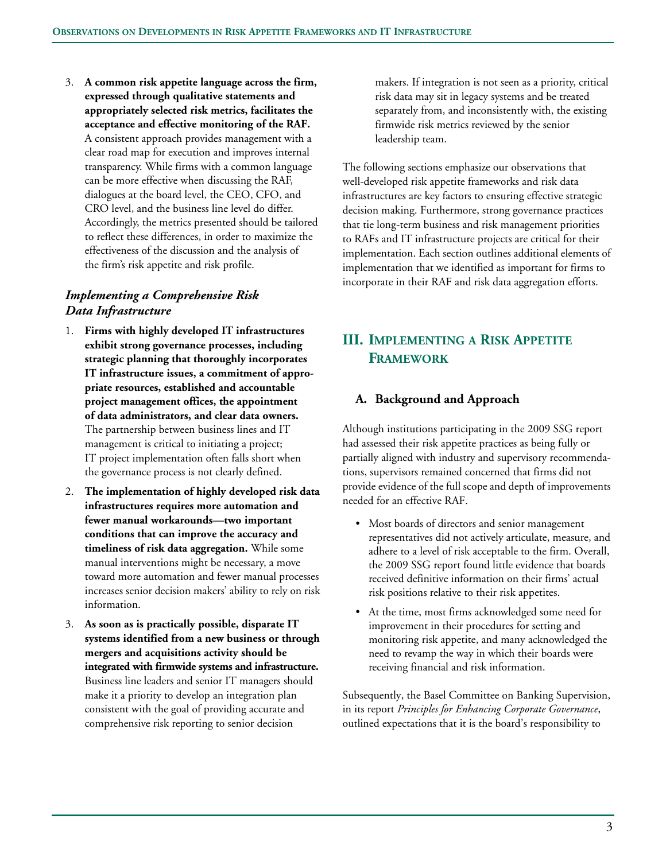3. **A common risk appetite language across the firm, expressed through qualitative statements and appropriately selected risk metrics, facilitates the acceptance and effective monitoring of the RAF.** A consistent approach provides management with a clear road map for execution and improves internal transparency. While firms with a common language can be more effective when discussing the RAF, dialogues at the board level, the CEO, CFO, and CRO level, and the business line level do differ. Accordingly, the metrics presented should be tailored to reflect these differences, in order to maximize the effectiveness of the discussion and the analysis of the firm's risk appetite and risk profile.

# *Implementing a Comprehensive Risk Data Infrastructure*

- 1. **Firms with highly developed IT infrastructures exhibit strong governance processes, including strategic planning that thoroughly incorporates IT infrastructure issues, a commitment of appropriate resources, established and accountable project management offices, the appointment of data administrators, and clear data owners.** The partnership between business lines and IT management is critical to initiating a project; IT project implementation often falls short when the governance process is not clearly defined.
- 2. **The implementation of highly developed risk data infrastructures requires more automation and fewer manual workarounds—two important conditions that can improve the accuracy and timeliness of risk data aggregation.** While some manual interventions might be necessary, a move toward more automation and fewer manual processes increases senior decision makers' ability to rely on risk information.
- 3. **As soon as is practically possible, disparate IT systems identified from a new business or through mergers and acquisitions activity should be integrated with firmwide systems and infrastructure.** Business line leaders and senior IT managers should make it a priority to develop an integration plan consistent with the goal of providing accurate and comprehensive risk reporting to senior decision

makers. If integration is not seen as a priority, critical risk data may sit in legacy systems and be treated separately from, and inconsistently with, the existing firmwide risk metrics reviewed by the senior leadership team.

The following sections emphasize our observations that well-developed risk appetite frameworks and risk data infrastructures are key factors to ensuring effective strategic decision making. Furthermore, strong governance practices that tie long-term business and risk management priorities to RAFs and IT infrastructure projects are critical for their implementation. Each section outlines additional elements of implementation that we identified as important for firms to incorporate in their RAF and risk data aggregation efforts.

# **III. IMPLEMENTING A RISK APPETITE FRAMEWORK**

## **A. Background and Approach**

Although institutions participating in the 2009 SSG report had assessed their risk appetite practices as being fully or partially aligned with industry and supervisory recommendations, supervisors remained concerned that firms did not provide evidence of the full scope and depth of improvements needed for an effective RAF.

- Most boards of directors and senior management representatives did not actively articulate, measure, and adhere to a level of risk acceptable to the firm. Overall, the 2009 SSG report found little evidence that boards received definitive information on their firms' actual risk positions relative to their risk appetites.
- At the time, most firms acknowledged some need for improvement in their procedures for setting and monitoring risk appetite, and many acknowledged the need to revamp the way in which their boards were receiving financial and risk information.

Subsequently, the Basel Committee on Banking Supervision, in its report *Principles for Enhancing Corporate Governance*, outlined expectations that it is the board's responsibility to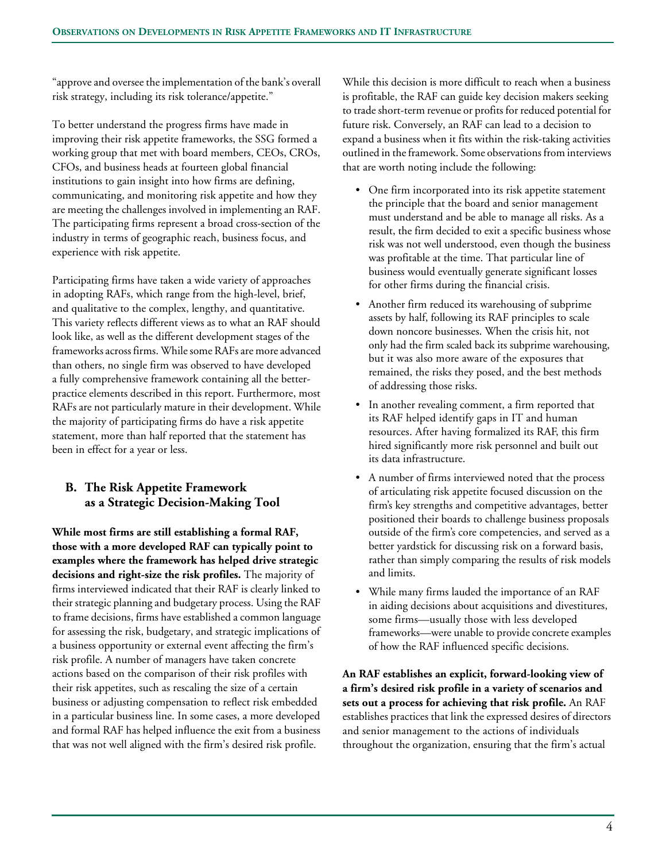"approve and oversee the implementation of the bank's overall risk strategy, including its risk tolerance/appetite."

To better understand the progress firms have made in improving their risk appetite frameworks, the SSG formed a working group that met with board members, CEOs, CROs, CFOs, and business heads at fourteen global financial institutions to gain insight into how firms are defining, communicating, and monitoring risk appetite and how they are meeting the challenges involved in implementing an RAF. The participating firms represent a broad cross-section of the industry in terms of geographic reach, business focus, and experience with risk appetite.

Participating firms have taken a wide variety of approaches in adopting RAFs, which range from the high-level, brief, and qualitative to the complex, lengthy, and quantitative. This variety reflects different views as to what an RAF should look like, as well as the different development stages of the frameworks across firms. While some RAFs are more advanced than others, no single firm was observed to have developed a fully comprehensive framework containing all the betterpractice elements described in this report. Furthermore, most RAFs are not particularly mature in their development. While the majority of participating firms do have a risk appetite statement, more than half reported that the statement has been in effect for a year or less.

# **B. The Risk Appetite Framework as a Strategic Decision-Making Tool**

**While most firms are still establishing a formal RAF, those with a more developed RAF can typically point to examples where the framework has helped drive strategic decisions and right-size the risk profiles.** The majority of firms interviewed indicated that their RAF is clearly linked to their strategic planning and budgetary process. Using the RAF to frame decisions, firms have established a common language for assessing the risk, budgetary, and strategic implications of a business opportunity or external event affecting the firm's risk profile. A number of managers have taken concrete actions based on the comparison of their risk profiles with their risk appetites, such as rescaling the size of a certain business or adjusting compensation to reflect risk embedded in a particular business line. In some cases, a more developed and formal RAF has helped influence the exit from a business that was not well aligned with the firm's desired risk profile.

While this decision is more difficult to reach when a business is profitable, the RAF can guide key decision makers seeking to trade short-term revenue or profits for reduced potential for future risk. Conversely, an RAF can lead to a decision to expand a business when it fits within the risk-taking activities outlined in the framework. Some observations from interviews that are worth noting include the following:

- One firm incorporated into its risk appetite statement the principle that the board and senior management must understand and be able to manage all risks. As a result, the firm decided to exit a specific business whose risk was not well understood, even though the business was profitable at the time. That particular line of business would eventually generate significant losses for other firms during the financial crisis.
- Another firm reduced its warehousing of subprime assets by half, following its RAF principles to scale down noncore businesses. When the crisis hit, not only had the firm scaled back its subprime warehousing, but it was also more aware of the exposures that remained, the risks they posed, and the best methods of addressing those risks.
- In another revealing comment, a firm reported that its RAF helped identify gaps in IT and human resources. After having formalized its RAF, this firm hired significantly more risk personnel and built out its data infrastructure.
- A number of firms interviewed noted that the process of articulating risk appetite focused discussion on the firm's key strengths and competitive advantages, better positioned their boards to challenge business proposals outside of the firm's core competencies, and served as a better yardstick for discussing risk on a forward basis, rather than simply comparing the results of risk models and limits.
- While many firms lauded the importance of an RAF in aiding decisions about acquisitions and divestitures, some firms—usually those with less developed frameworks—were unable to provide concrete examples of how the RAF influenced specific decisions.

**An RAF establishes an explicit, forward-looking view of a firm's desired risk profile in a variety of scenarios and sets out a process for achieving that risk profile.** An RAF establishes practices that link the expressed desires of directors and senior management to the actions of individuals throughout the organization, ensuring that the firm's actual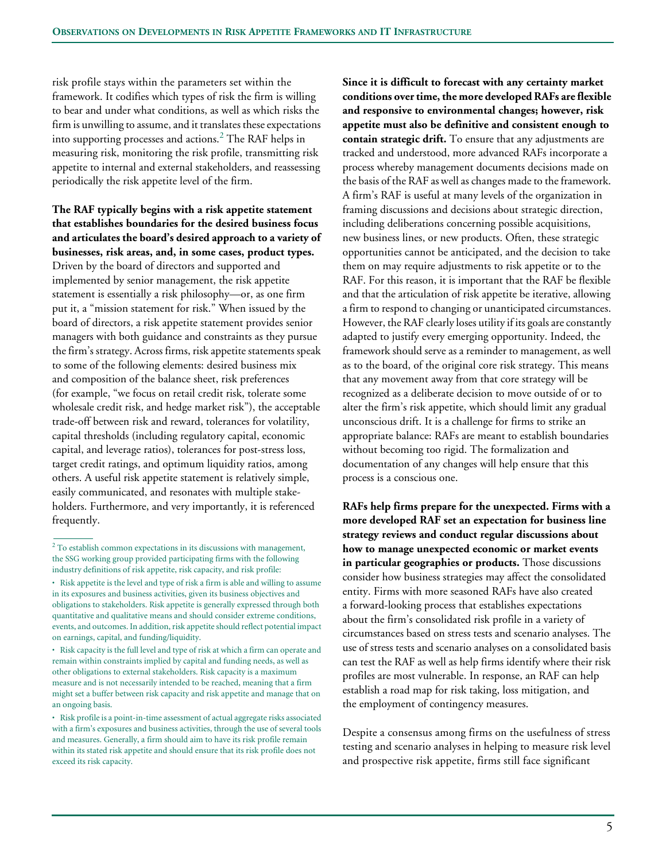risk profile stays within the parameters set within the framework. It codifies which types of risk the firm is willing to bear and under what conditions, as well as which risks the firm is unwilling to assume, and it translates these expectations into supporting processes and actions. $^2$  The RAF helps in measuring risk, monitoring the risk profile, transmitting risk appetite to internal and external stakeholders, and reassessing periodically the risk appetite level of the firm.

**The RAF typically begins with a risk appetite statement that establishes boundaries for the desired business focus and articulates the board's desired approach to a variety of businesses, risk areas, and, in some cases, product types.**  Driven by the board of directors and supported and implemented by senior management, the risk appetite statement is essentially a risk philosophy—or, as one firm put it, a "mission statement for risk." When issued by the board of directors, a risk appetite statement provides senior managers with both guidance and constraints as they pursue the firm's strategy. Across firms, risk appetite statements speak to some of the following elements: desired business mix and composition of the balance sheet, risk preferences (for example, "we focus on retail credit risk, tolerate some wholesale credit risk, and hedge market risk"), the acceptable trade-off between risk and reward, tolerances for volatility, capital thresholds (including regulatory capital, economic capital, and leverage ratios), tolerances for post-stress loss, target credit ratings, and optimum liquidity ratios, among others. A useful risk appetite statement is relatively simple, easily communicated, and resonates with multiple stakeholders. Furthermore, and very importantly, it is referenced frequently.

**Since it is difficult to forecast with any certainty market conditions over time, the more developed RAFs are flexible and responsive to environmental changes; however, risk appetite must also be definitive and consistent enough to contain strategic drift.** To ensure that any adjustments are tracked and understood, more advanced RAFs incorporate a process whereby management documents decisions made on the basis of the RAF as well as changes made to the framework. A firm's RAF is useful at many levels of the organization in framing discussions and decisions about strategic direction, including deliberations concerning possible acquisitions, new business lines, or new products. Often, these strategic opportunities cannot be anticipated, and the decision to take them on may require adjustments to risk appetite or to the RAF. For this reason, it is important that the RAF be flexible and that the articulation of risk appetite be iterative, allowing a firm to respond to changing or unanticipated circumstances. However, the RAF clearly loses utility if its goals are constantly adapted to justify every emerging opportunity. Indeed, the framework should serve as a reminder to management, as well as to the board, of the original core risk strategy. This means that any movement away from that core strategy will be recognized as a deliberate decision to move outside of or to alter the firm's risk appetite, which should limit any gradual unconscious drift. It is a challenge for firms to strike an appropriate balance: RAFs are meant to establish boundaries without becoming too rigid. The formalization and documentation of any changes will help ensure that this process is a conscious one.

**RAFs help firms prepare for the unexpected. Firms with a more developed RAF set an expectation for business line strategy reviews and conduct regular discussions about how to manage unexpected economic or market events in particular geographies or products.** Those discussions consider how business strategies may affect the consolidated entity. Firms with more seasoned RAFs have also created a forward-looking process that establishes expectations about the firm's consolidated risk profile in a variety of circumstances based on stress tests and scenario analyses. The use of stress tests and scenario analyses on a consolidated basis can test the RAF as well as help firms identify where their risk profiles are most vulnerable. In response, an RAF can help establish a road map for risk taking, loss mitigation, and the employment of contingency measures.

Despite a consensus among firms on the usefulness of stress testing and scenario analyses in helping to measure risk level and prospective risk appetite, firms still face significant

 $2^2$  To establish common expectations in its discussions with management, the SSG working group provided participating firms with the following industry definitions of risk appetite, risk capacity, and risk profile:

<sup>•</sup> Risk appetite is the level and type of risk a firm is able and willing to assume in its exposures and business activities, given its business objectives and obligations to stakeholders. Risk appetite is generally expressed through both quantitative and qualitative means and should consider extreme conditions, events, and outcomes. In addition, risk appetite should reflect potential impact on earnings, capital, and funding/liquidity.

<sup>•</sup> Risk capacity is the full level and type of risk at which a firm can operate and remain within constraints implied by capital and funding needs, as well as other obligations to external stakeholders. Risk capacity is a maximum measure and is not necessarily intended to be reached, meaning that a firm might set a buffer between risk capacity and risk appetite and manage that on an ongoing basis.

<sup>•</sup> Risk profile is a point-in-time assessment of actual aggregate risks associated with a firm's exposures and business activities, through the use of several tools and measures. Generally, a firm should aim to have its risk profile remain within its stated risk appetite and should ensure that its risk profile does not exceed its risk capacity.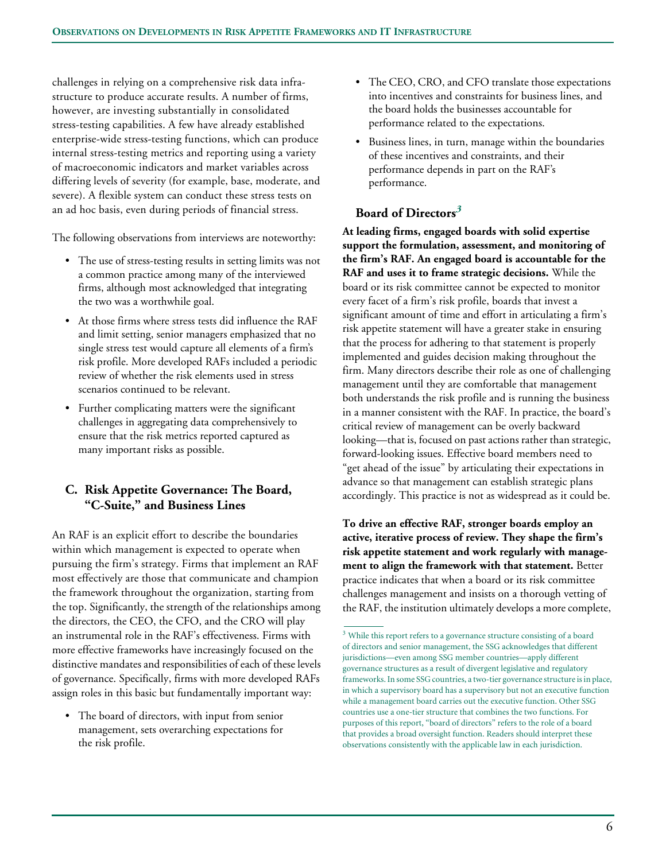challenges in relying on a comprehensive risk data infrastructure to produce accurate results. A number of firms, however, are investing substantially in consolidated stress-testing capabilities. A few have already established enterprise-wide stress-testing functions, which can produce internal stress-testing metrics and reporting using a variety of macroeconomic indicators and market variables across differing levels of severity (for example, base, moderate, and severe). A flexible system can conduct these stress tests on an ad hoc basis, even during periods of financial stress.

The following observations from interviews are noteworthy:

- The use of stress-testing results in setting limits was not a common practice among many of the interviewed firms, although most acknowledged that integrating the two was a worthwhile goal.
- At those firms where stress tests did influence the RAF and limit setting, senior managers emphasized that no single stress test would capture all elements of a firm's risk profile. More developed RAFs included a periodic review of whether the risk elements used in stress scenarios continued to be relevant.
- Further complicating matters were the significant challenges in aggregating data comprehensively to ensure that the risk metrics reported captured as many important risks as possible.

# **C. Risk Appetite Governance: The Board, "C-Suite," and Business Lines**

An RAF is an explicit effort to describe the boundaries within which management is expected to operate when pursuing the firm's strategy. Firms that implement an RAF most effectively are those that communicate and champion the framework throughout the organization, starting from the top. Significantly, the strength of the relationships among the directors, the CEO, the CFO, and the CRO will play an instrumental role in the RAF's effectiveness. Firms with more effective frameworks have increasingly focused on the distinctive mandates and responsibilities of each of these levels of governance. Specifically, firms with more developed RAFs assign roles in this basic but fundamentally important way:

• The board of directors, with input from senior management, sets overarching expectations for the risk profile.

- The CEO, CRO, and CFO translate those expectations into incentives and constraints for business lines, and the board holds the businesses accountable for performance related to the expectations.
- Business lines, in turn, manage within the boundaries of these incentives and constraints, and their performance depends in part on the RAF's performance.

# **Board of Directors***<sup>3</sup>*

**At leading firms, engaged boards with solid expertise support the formulation, assessment, and monitoring of the firm's RAF. An engaged board is accountable for the RAF and uses it to frame strategic decisions.** While the board or its risk committee cannot be expected to monitor every facet of a firm's risk profile, boards that invest a significant amount of time and effort in articulating a firm's risk appetite statement will have a greater stake in ensuring that the process for adhering to that statement is properly implemented and guides decision making throughout the firm. Many directors describe their role as one of challenging management until they are comfortable that management both understands the risk profile and is running the business in a manner consistent with the RAF. In practice, the board's critical review of management can be overly backward looking—that is, focused on past actions rather than strategic, forward-looking issues. Effective board members need to "get ahead of the issue" by articulating their expectations in advance so that management can establish strategic plans accordingly. This practice is not as widespread as it could be.

**To drive an effective RAF, stronger boards employ an active, iterative process of review. They shape the firm's risk appetite statement and work regularly with management to align the framework with that statement.** Better practice indicates that when a board or its risk committee challenges management and insists on a thorough vetting of the RAF, the institution ultimately develops a more complete,

<sup>&</sup>lt;sup>3</sup> While this report refers to a governance structure consisting of a board of directors and senior management, the SSG acknowledges that different jurisdictions—even among SSG member countries—apply different governance structures as a result of divergent legislative and regulatory frameworks. In some SSG countries, a two-tier governance structure is in place, in which a supervisory board has a supervisory but not an executive function while a management board carries out the executive function. Other SSG countries use a one-tier structure that combines the two functions. For purposes of this report, "board of directors" refers to the role of a board that provides a broad oversight function. Readers should interpret these observations consistently with the applicable law in each jurisdiction.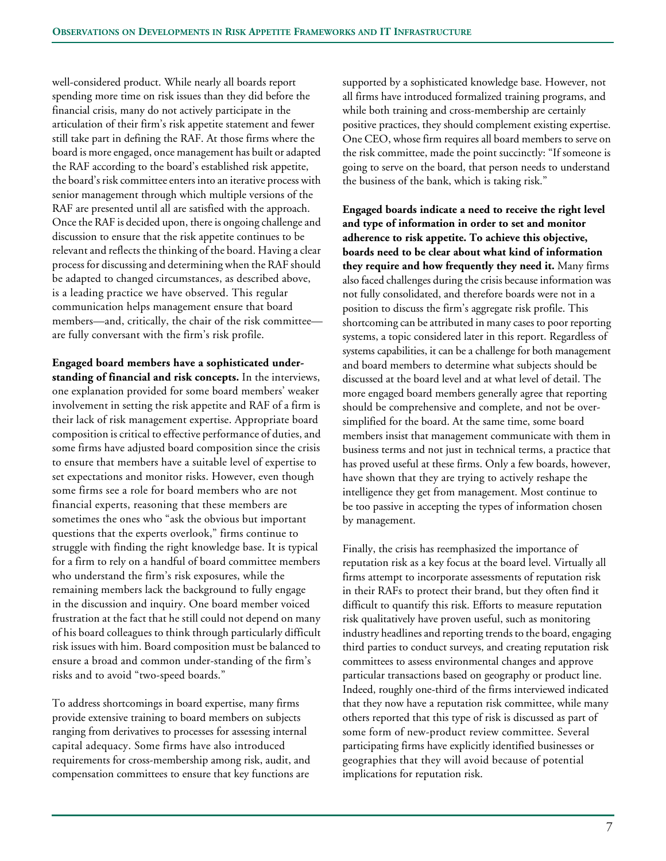well-considered product. While nearly all boards report spending more time on risk issues than they did before the financial crisis, many do not actively participate in the articulation of their firm's risk appetite statement and fewer still take part in defining the RAF. At those firms where the board is more engaged, once management has built or adapted the RAF according to the board's established risk appetite, the board's risk committee enters into an iterative process with senior management through which multiple versions of the RAF are presented until all are satisfied with the approach. Once the RAF is decided upon, there is ongoing challenge and discussion to ensure that the risk appetite continues to be relevant and reflects the thinking of the board. Having a clear process for discussing and determining when the RAF should be adapted to changed circumstances, as described above, is a leading practice we have observed. This regular communication helps management ensure that board members—and, critically, the chair of the risk committee are fully conversant with the firm's risk profile.

**Engaged board members have a sophisticated understanding of financial and risk concepts.** In the interviews, one explanation provided for some board members' weaker involvement in setting the risk appetite and RAF of a firm is their lack of risk management expertise. Appropriate board composition is critical to effective performance of duties, and some firms have adjusted board composition since the crisis to ensure that members have a suitable level of expertise to set expectations and monitor risks. However, even though some firms see a role for board members who are not financial experts, reasoning that these members are sometimes the ones who "ask the obvious but important questions that the experts overlook," firms continue to struggle with finding the right knowledge base. It is typical for a firm to rely on a handful of board committee members who understand the firm's risk exposures, while the remaining members lack the background to fully engage in the discussion and inquiry. One board member voiced frustration at the fact that he still could not depend on many of his board colleagues to think through particularly difficult risk issues with him. Board composition must be balanced to ensure a broad and common under-standing of the firm's risks and to avoid "two-speed boards."

To address shortcomings in board expertise, many firms provide extensive training to board members on subjects ranging from derivatives to processes for assessing internal capital adequacy. Some firms have also introduced requirements for cross-membership among risk, audit, and compensation committees to ensure that key functions are

supported by a sophisticated knowledge base. However, not all firms have introduced formalized training programs, and while both training and cross-membership are certainly positive practices, they should complement existing expertise. One CEO, whose firm requires all board members to serve on the risk committee, made the point succinctly: "If someone is going to serve on the board, that person needs to understand the business of the bank, which is taking risk."

**Engaged boards indicate a need to receive the right level and type of information in order to set and monitor adherence to risk appetite. To achieve this objective, boards need to be clear about what kind of information they require and how frequently they need it.** Many firms also faced challenges during the crisis because information was not fully consolidated, and therefore boards were not in a position to discuss the firm's aggregate risk profile. This shortcoming can be attributed in many cases to poor reporting systems, a topic considered later in this report. Regardless of systems capabilities, it can be a challenge for both management and board members to determine what subjects should be discussed at the board level and at what level of detail. The more engaged board members generally agree that reporting should be comprehensive and complete, and not be oversimplified for the board. At the same time, some board members insist that management communicate with them in business terms and not just in technical terms, a practice that has proved useful at these firms. Only a few boards, however, have shown that they are trying to actively reshape the intelligence they get from management. Most continue to be too passive in accepting the types of information chosen by management.

Finally, the crisis has reemphasized the importance of reputation risk as a key focus at the board level. Virtually all firms attempt to incorporate assessments of reputation risk in their RAFs to protect their brand, but they often find it difficult to quantify this risk. Efforts to measure reputation risk qualitatively have proven useful, such as monitoring industry headlines and reporting trends to the board, engaging third parties to conduct surveys, and creating reputation risk committees to assess environmental changes and approve particular transactions based on geography or product line. Indeed, roughly one-third of the firms interviewed indicated that they now have a reputation risk committee, while many others reported that this type of risk is discussed as part of some form of new-product review committee. Several participating firms have explicitly identified businesses or geographies that they will avoid because of potential implications for reputation risk.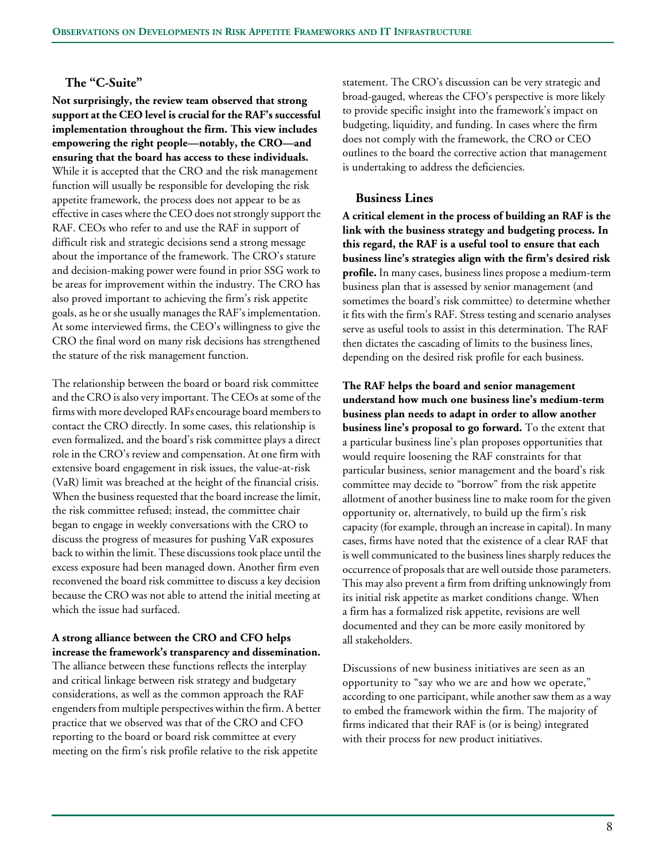## **The "C-Suite"**

**Not surprisingly, the review team observed that strong support at the CEO level is crucial for the RAF's successful implementation throughout the firm. This view includes empowering the right people—notably, the CRO—and ensuring that the board has access to these individuals.** While it is accepted that the CRO and the risk management function will usually be responsible for developing the risk appetite framework, the process does not appear to be as effective in cases where the CEO does not strongly support the RAF. CEOs who refer to and use the RAF in support of difficult risk and strategic decisions send a strong message about the importance of the framework. The CRO's stature and decision-making power were found in prior SSG work to be areas for improvement within the industry. The CRO has also proved important to achieving the firm's risk appetite goals, as he or she usually manages the RAF's implementation. At some interviewed firms, the CEO's willingness to give the CRO the final word on many risk decisions has strengthened the stature of the risk management function.

The relationship between the board or board risk committee and the CRO is also very important. The CEOs at some of the firms with more developed RAFs encourage board members to contact the CRO directly. In some cases, this relationship is even formalized, and the board's risk committee plays a direct role in the CRO's review and compensation. At one firm with extensive board engagement in risk issues, the value-at-risk (VaR) limit was breached at the height of the financial crisis. When the business requested that the board increase the limit, the risk committee refused; instead, the committee chair began to engage in weekly conversations with the CRO to discuss the progress of measures for pushing VaR exposures back to within the limit. These discussions took place until the excess exposure had been managed down. Another firm even reconvened the board risk committee to discuss a key decision because the CRO was not able to attend the initial meeting at which the issue had surfaced.

#### **A strong alliance between the CRO and CFO helps increase the framework's transparency and dissemination.**

The alliance between these functions reflects the interplay and critical linkage between risk strategy and budgetary considerations, as well as the common approach the RAF engenders from multiple perspectives within the firm. A better practice that we observed was that of the CRO and CFO reporting to the board or board risk committee at every meeting on the firm's risk profile relative to the risk appetite

statement. The CRO's discussion can be very strategic and broad-gauged, whereas the CFO's perspective is more likely to provide specific insight into the framework's impact on budgeting, liquidity, and funding. In cases where the firm does not comply with the framework, the CRO or CEO outlines to the board the corrective action that management is undertaking to address the deficiencies.

#### **Business Lines**

**A critical element in the process of building an RAF is the link with the business strategy and budgeting process. In this regard, the RAF is a useful tool to ensure that each business line's strategies align with the firm's desired risk profile.** In many cases, business lines propose a medium-term business plan that is assessed by senior management (and sometimes the board's risk committee) to determine whether it fits with the firm's RAF. Stress testing and scenario analyses serve as useful tools to assist in this determination. The RAF then dictates the cascading of limits to the business lines, depending on the desired risk profile for each business.

**The RAF helps the board and senior management understand how much one business line's medium-term business plan needs to adapt in order to allow another business line's proposal to go forward.** To the extent that a particular business line's plan proposes opportunities that would require loosening the RAF constraints for that particular business, senior management and the board's risk committee may decide to "borrow" from the risk appetite allotment of another business line to make room for the given opportunity or, alternatively, to build up the firm's risk capacity (for example, through an increase in capital). In many cases, firms have noted that the existence of a clear RAF that is well communicated to the business lines sharply reduces the occurrence of proposals that are well outside those parameters. This may also prevent a firm from drifting unknowingly from its initial risk appetite as market conditions change. When a firm has a formalized risk appetite, revisions are well documented and they can be more easily monitored by all stakeholders.

Discussions of new business initiatives are seen as an opportunity to "say who we are and how we operate," according to one participant, while another saw them as a way to embed the framework within the firm. The majority of firms indicated that their RAF is (or is being) integrated with their process for new product initiatives.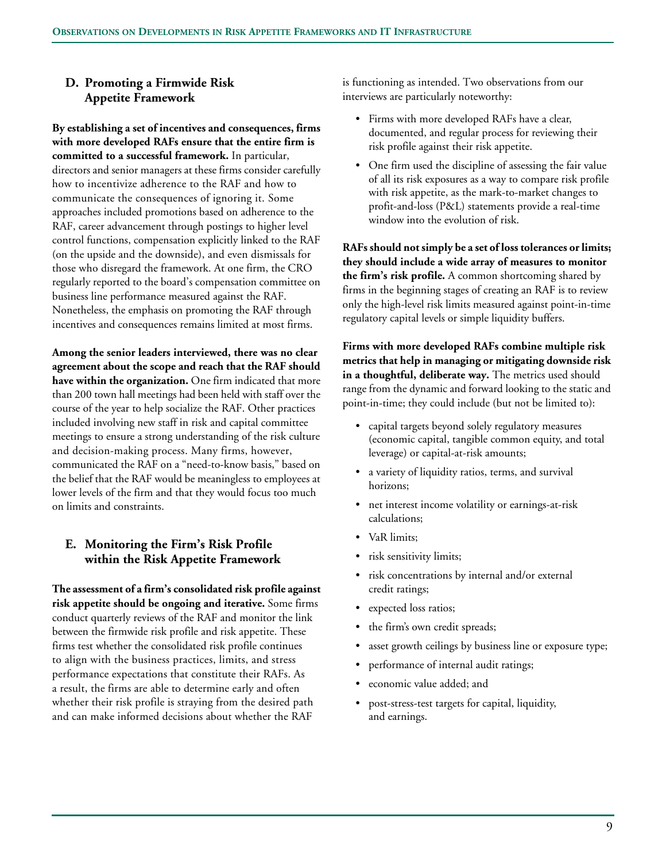# **D. Promoting a Firmwide Risk Appetite Framework**

**By establishing a set of incentives and consequences, firms with more developed RAFs ensure that the entire firm is committed to a successful framework.** In particular, directors and senior managers at these firms consider carefully how to incentivize adherence to the RAF and how to communicate the consequences of ignoring it. Some approaches included promotions based on adherence to the RAF, career advancement through postings to higher level control functions, compensation explicitly linked to the RAF (on the upside and the downside), and even dismissals for those who disregard the framework. At one firm, the CRO regularly reported to the board's compensation committee on business line performance measured against the RAF. Nonetheless, the emphasis on promoting the RAF through incentives and consequences remains limited at most firms.

**Among the senior leaders interviewed, there was no clear agreement about the scope and reach that the RAF should have within the organization.** One firm indicated that more than 200 town hall meetings had been held with staff over the course of the year to help socialize the RAF. Other practices included involving new staff in risk and capital committee meetings to ensure a strong understanding of the risk culture and decision-making process. Many firms, however, communicated the RAF on a "need-to-know basis," based on the belief that the RAF would be meaningless to employees at lower levels of the firm and that they would focus too much on limits and constraints.

# **E. Monitoring the Firm's Risk Profile within the Risk Appetite Framework**

**The assessment of a firm's consolidated risk profile against risk appetite should be ongoing and iterative.** Some firms conduct quarterly reviews of the RAF and monitor the link between the firmwide risk profile and risk appetite. These firms test whether the consolidated risk profile continues to align with the business practices, limits, and stress performance expectations that constitute their RAFs. As a result, the firms are able to determine early and often whether their risk profile is straying from the desired path and can make informed decisions about whether the RAF

is functioning as intended. Two observations from our interviews are particularly noteworthy:

- Firms with more developed RAFs have a clear, documented, and regular process for reviewing their risk profile against their risk appetite.
- One firm used the discipline of assessing the fair value of all its risk exposures as a way to compare risk profile with risk appetite, as the mark-to-market changes to profit-and-loss (P&L) statements provide a real-time window into the evolution of risk.

**RAFs should not simply be a set of loss tolerances or limits; they should include a wide array of measures to monitor the firm's risk profile.** A common shortcoming shared by firms in the beginning stages of creating an RAF is to review only the high-level risk limits measured against point-in-time regulatory capital levels or simple liquidity buffers.

**Firms with more developed RAFs combine multiple risk metrics that help in managing or mitigating downside risk in a thoughtful, deliberate way.** The metrics used should range from the dynamic and forward looking to the static and point-in-time; they could include (but not be limited to):

- capital targets beyond solely regulatory measures (economic capital, tangible common equity, and total leverage) or capital-at-risk amounts;
- a variety of liquidity ratios, terms, and survival horizons;
- net interest income volatility or earnings-at-risk calculations;
- VaR limits:
- risk sensitivity limits;
- risk concentrations by internal and/or external credit ratings;
- expected loss ratios;
- the firm's own credit spreads;
- asset growth ceilings by business line or exposure type;
- performance of internal audit ratings;
- economic value added; and
- post-stress-test targets for capital, liquidity, and earnings.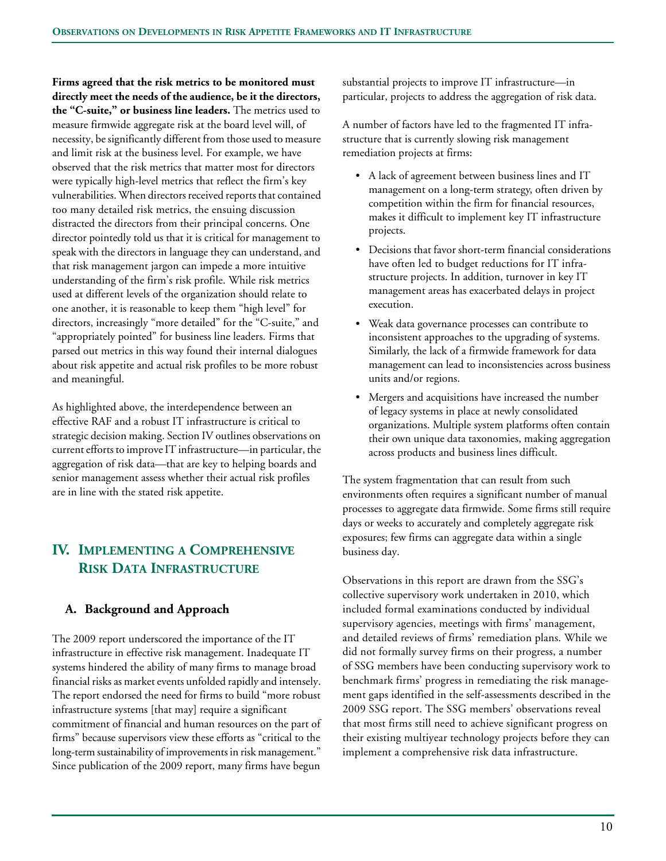**Firms agreed that the risk metrics to be monitored must directly meet the needs of the audience, be it the directors, the "C-suite," or business line leaders.** The metrics used to measure firmwide aggregate risk at the board level will, of necessity, be significantly different from those used to measure and limit risk at the business level. For example, we have observed that the risk metrics that matter most for directors were typically high-level metrics that reflect the firm's key vulnerabilities. When directors received reports that contained too many detailed risk metrics, the ensuing discussion distracted the directors from their principal concerns. One director pointedly told us that it is critical for management to speak with the directors in language they can understand, and that risk management jargon can impede a more intuitive understanding of the firm's risk profile. While risk metrics used at different levels of the organization should relate to one another, it is reasonable to keep them "high level" for directors, increasingly "more detailed" for the "C-suite," and "appropriately pointed" for business line leaders. Firms that parsed out metrics in this way found their internal dialogues about risk appetite and actual risk profiles to be more robust and meaningful.

As highlighted above, the interdependence between an effective RAF and a robust IT infrastructure is critical to strategic decision making. Section IV outlines observations on current efforts to improve IT infrastructure—in particular, the aggregation of risk data—that are key to helping boards and senior management assess whether their actual risk profiles are in line with the stated risk appetite.

# **IV. IMPLEMENTING A COMPREHENSIVE RISK DATA INFRASTRUCTURE**

# **A. Background and Approach**

The 2009 report underscored the importance of the IT infrastructure in effective risk management. Inadequate IT systems hindered the ability of many firms to manage broad financial risks as market events unfolded rapidly and intensely. The report endorsed the need for firms to build "more robust infrastructure systems [that may] require a significant commitment of financial and human resources on the part of firms" because supervisors view these efforts as "critical to the long-term sustainability of improvements in risk management." Since publication of the 2009 report, many firms have begun

substantial projects to improve IT infrastructure—in particular, projects to address the aggregation of risk data.

A number of factors have led to the fragmented IT infrastructure that is currently slowing risk management remediation projects at firms:

- A lack of agreement between business lines and IT management on a long-term strategy, often driven by competition within the firm for financial resources, makes it difficult to implement key IT infrastructure projects.
- Decisions that favor short-term financial considerations have often led to budget reductions for IT infrastructure projects. In addition, turnover in key IT management areas has exacerbated delays in project execution.
- Weak data governance processes can contribute to inconsistent approaches to the upgrading of systems. Similarly, the lack of a firmwide framework for data management can lead to inconsistencies across business units and/or regions.
- Mergers and acquisitions have increased the number of legacy systems in place at newly consolidated organizations. Multiple system platforms often contain their own unique data taxonomies, making aggregation across products and business lines difficult.

The system fragmentation that can result from such environments often requires a significant number of manual processes to aggregate data firmwide. Some firms still require days or weeks to accurately and completely aggregate risk exposures; few firms can aggregate data within a single business day.

Observations in this report are drawn from the SSG's collective supervisory work undertaken in 2010, which included formal examinations conducted by individual supervisory agencies, meetings with firms' management, and detailed reviews of firms' remediation plans. While we did not formally survey firms on their progress, a number of SSG members have been conducting supervisory work to benchmark firms' progress in remediating the risk management gaps identified in the self-assessments described in the 2009 SSG report. The SSG members' observations reveal that most firms still need to achieve significant progress on their existing multiyear technology projects before they can implement a comprehensive risk data infrastructure.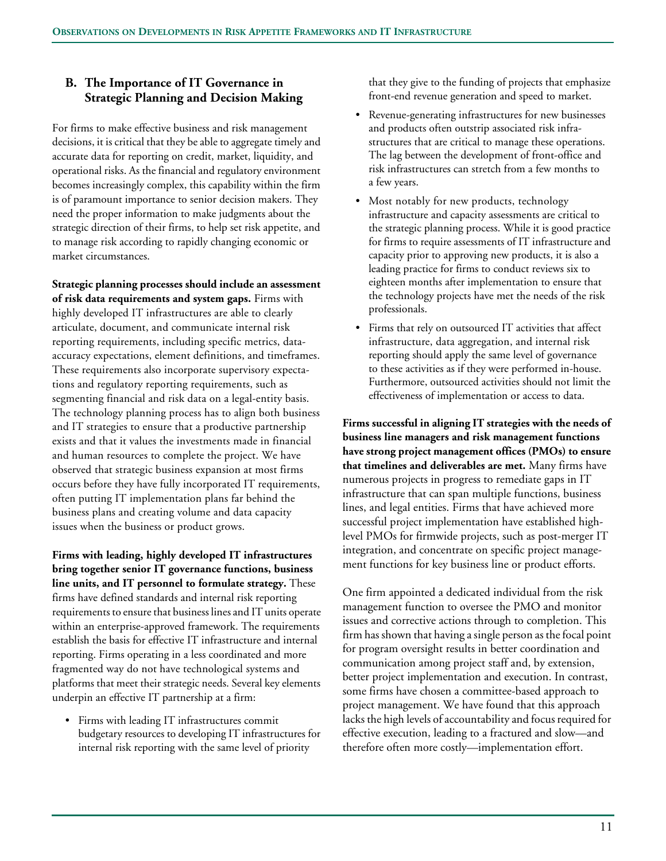# **B. The Importance of IT Governance in Strategic Planning and Decision Making**

For firms to make effective business and risk management decisions, it is critical that they be able to aggregate timely and accurate data for reporting on credit, market, liquidity, and operational risks. As the financial and regulatory environment becomes increasingly complex, this capability within the firm is of paramount importance to senior decision makers. They need the proper information to make judgments about the strategic direction of their firms, to help set risk appetite, and to manage risk according to rapidly changing economic or market circumstances.

**Strategic planning processes should include an assessment of risk data requirements and system gaps.** Firms with highly developed IT infrastructures are able to clearly articulate, document, and communicate internal risk reporting requirements, including specific metrics, dataaccuracy expectations, element definitions, and timeframes. These requirements also incorporate supervisory expectations and regulatory reporting requirements, such as segmenting financial and risk data on a legal-entity basis. The technology planning process has to align both business and IT strategies to ensure that a productive partnership exists and that it values the investments made in financial and human resources to complete the project. We have observed that strategic business expansion at most firms occurs before they have fully incorporated IT requirements, often putting IT implementation plans far behind the business plans and creating volume and data capacity issues when the business or product grows.

**Firms with leading, highly developed IT infrastructures bring together senior IT governance functions, business line units, and IT personnel to formulate strategy.** These firms have defined standards and internal risk reporting requirements to ensure that business lines and IT units operate within an enterprise-approved framework. The requirements establish the basis for effective IT infrastructure and internal reporting. Firms operating in a less coordinated and more fragmented way do not have technological systems and platforms that meet their strategic needs. Several key elements underpin an effective IT partnership at a firm:

• Firms with leading IT infrastructures commit budgetary resources to developing IT infrastructures for internal risk reporting with the same level of priority

that they give to the funding of projects that emphasize front-end revenue generation and speed to market.

- Revenue-generating infrastructures for new businesses and products often outstrip associated risk infrastructures that are critical to manage these operations. The lag between the development of front-office and risk infrastructures can stretch from a few months to a few years.
- Most notably for new products, technology infrastructure and capacity assessments are critical to the strategic planning process. While it is good practice for firms to require assessments of IT infrastructure and capacity prior to approving new products, it is also a leading practice for firms to conduct reviews six to eighteen months after implementation to ensure that the technology projects have met the needs of the risk professionals.
- Firms that rely on outsourced IT activities that affect infrastructure, data aggregation, and internal risk reporting should apply the same level of governance to these activities as if they were performed in-house. Furthermore, outsourced activities should not limit the effectiveness of implementation or access to data.

**Firms successful in aligning IT strategies with the needs of business line managers and risk management functions have strong project management offices (PMOs) to ensure that timelines and deliverables are met.** Many firms have numerous projects in progress to remediate gaps in IT infrastructure that can span multiple functions, business lines, and legal entities. Firms that have achieved more successful project implementation have established highlevel PMOs for firmwide projects, such as post-merger IT integration, and concentrate on specific project management functions for key business line or product efforts.

One firm appointed a dedicated individual from the risk management function to oversee the PMO and monitor issues and corrective actions through to completion. This firm has shown that having a single person as the focal point for program oversight results in better coordination and communication among project staff and, by extension, better project implementation and execution. In contrast, some firms have chosen a committee-based approach to project management. We have found that this approach lacks the high levels of accountability and focus required for effective execution, leading to a fractured and slow—and therefore often more costly—implementation effort.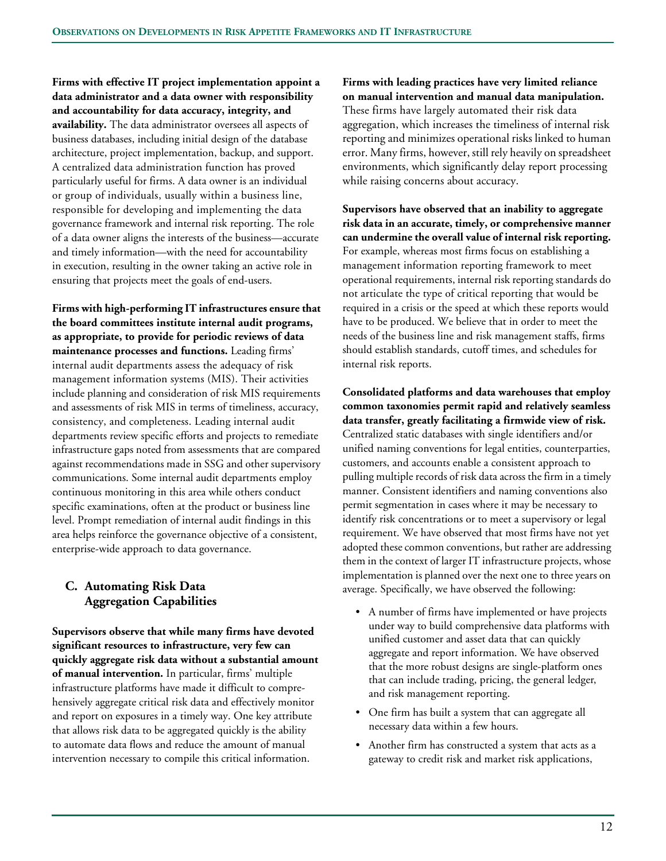**Firms with effective IT project implementation appoint a data administrator and a data owner with responsibility and accountability for data accuracy, integrity, and availability.** The data administrator oversees all aspects of business databases, including initial design of the database architecture, project implementation, backup, and support. A centralized data administration function has proved particularly useful for firms. A data owner is an individual or group of individuals, usually within a business line, responsible for developing and implementing the data governance framework and internal risk reporting. The role of a data owner aligns the interests of the business—accurate and timely information—with the need for accountability in execution, resulting in the owner taking an active role in ensuring that projects meet the goals of end-users.

**Firms with high-performing IT infrastructures ensure that the board committees institute internal audit programs, as appropriate, to provide for periodic reviews of data maintenance processes and functions.** Leading firms' internal audit departments assess the adequacy of risk management information systems (MIS). Their activities include planning and consideration of risk MIS requirements and assessments of risk MIS in terms of timeliness, accuracy, consistency, and completeness. Leading internal audit departments review specific efforts and projects to remediate infrastructure gaps noted from assessments that are compared against recommendations made in SSG and other supervisory communications. Some internal audit departments employ continuous monitoring in this area while others conduct specific examinations, often at the product or business line level. Prompt remediation of internal audit findings in this area helps reinforce the governance objective of a consistent, enterprise-wide approach to data governance.

# **C. Automating Risk Data Aggregation Capabilities**

**Supervisors observe that while many firms have devoted significant resources to infrastructure, very few can quickly aggregate risk data without a substantial amount of manual intervention.** In particular, firms' multiple infrastructure platforms have made it difficult to comprehensively aggregate critical risk data and effectively monitor and report on exposures in a timely way. One key attribute that allows risk data to be aggregated quickly is the ability to automate data flows and reduce the amount of manual intervention necessary to compile this critical information.

**Firms with leading practices have very limited reliance on manual intervention and manual data manipulation.** These firms have largely automated their risk data aggregation, which increases the timeliness of internal risk reporting and minimizes operational risks linked to human error. Many firms, however, still rely heavily on spreadsheet environments, which significantly delay report processing

while raising concerns about accuracy.

**Supervisors have observed that an inability to aggregate risk data in an accurate, timely, or comprehensive manner can undermine the overall value of internal risk reporting.** For example, whereas most firms focus on establishing a management information reporting framework to meet operational requirements, internal risk reporting standards do not articulate the type of critical reporting that would be required in a crisis or the speed at which these reports would have to be produced. We believe that in order to meet the needs of the business line and risk management staffs, firms should establish standards, cutoff times, and schedules for internal risk reports.

**Consolidated platforms and data warehouses that employ common taxonomies permit rapid and relatively seamless data transfer, greatly facilitating a firmwide view of risk.** Centralized static databases with single identifiers and/or unified naming conventions for legal entities, counterparties, customers, and accounts enable a consistent approach to pulling multiple records of risk data across the firm in a timely manner. Consistent identifiers and naming conventions also permit segmentation in cases where it may be necessary to identify risk concentrations or to meet a supervisory or legal requirement. We have observed that most firms have not yet adopted these common conventions, but rather are addressing them in the context of larger IT infrastructure projects, whose implementation is planned over the next one to three years on average. Specifically, we have observed the following:

- A number of firms have implemented or have projects under way to build comprehensive data platforms with unified customer and asset data that can quickly aggregate and report information. We have observed that the more robust designs are single-platform ones that can include trading, pricing, the general ledger, and risk management reporting.
- One firm has built a system that can aggregate all necessary data within a few hours.
- Another firm has constructed a system that acts as a gateway to credit risk and market risk applications,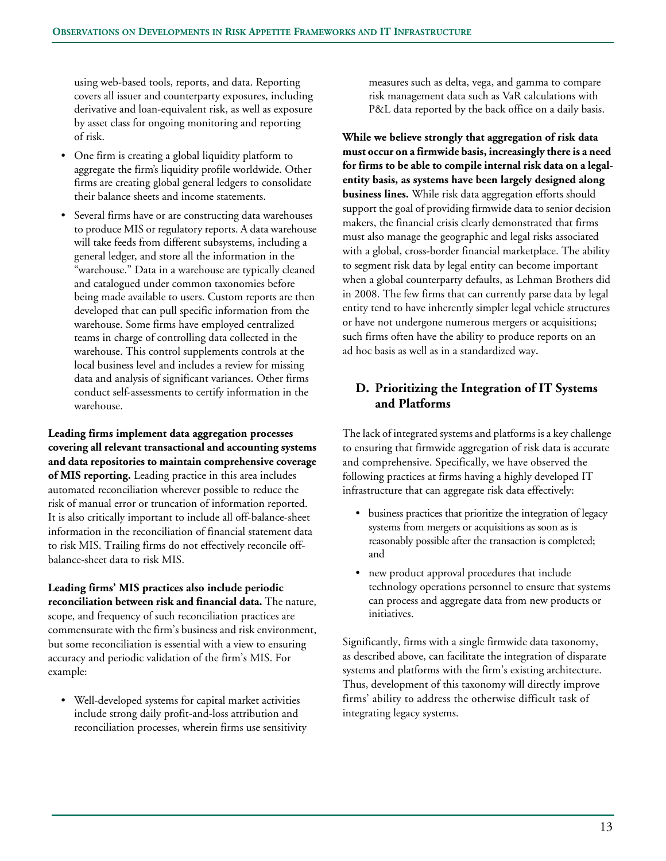using web-based tools, reports, and data. Reporting covers all issuer and counterparty exposures, including derivative and loan-equivalent risk, as well as exposure by asset class for ongoing monitoring and reporting of risk.

- One firm is creating a global liquidity platform to aggregate the firm's liquidity profile worldwide. Other firms are creating global general ledgers to consolidate their balance sheets and income statements.
- Several firms have or are constructing data warehouses to produce MIS or regulatory reports. A data warehouse will take feeds from different subsystems, including a general ledger, and store all the information in the "warehouse." Data in a warehouse are typically cleaned and catalogued under common taxonomies before being made available to users. Custom reports are then developed that can pull specific information from the warehouse. Some firms have employed centralized teams in charge of controlling data collected in the warehouse. This control supplements controls at the local business level and includes a review for missing data and analysis of significant variances. Other firms conduct self-assessments to certify information in the warehouse.

**Leading firms implement data aggregation processes covering all relevant transactional and accounting systems and data repositories to maintain comprehensive coverage of MIS reporting.** Leading practice in this area includes automated reconciliation wherever possible to reduce the risk of manual error or truncation of information reported. It is also critically important to include all off-balance-sheet information in the reconciliation of financial statement data to risk MIS. Trailing firms do not effectively reconcile offbalance-sheet data to risk MIS.

**Leading firms' MIS practices also include periodic reconciliation between risk and financial data.** The nature, scope, and frequency of such reconciliation practices are commensurate with the firm's business and risk environment, but some reconciliation is essential with a view to ensuring accuracy and periodic validation of the firm's MIS. For example:

• Well-developed systems for capital market activities include strong daily profit-and-loss attribution and reconciliation processes, wherein firms use sensitivity measures such as delta, vega, and gamma to compare risk management data such as VaR calculations with P&L data reported by the back office on a daily basis.

**While we believe strongly that aggregation of risk data must occur on a firmwide basis, increasingly there is a need for firms to be able to compile internal risk data on a legalentity basis, as systems have been largely designed along business lines.** While risk data aggregation efforts should support the goal of providing firmwide data to senior decision makers, the financial crisis clearly demonstrated that firms must also manage the geographic and legal risks associated with a global, cross-border financial marketplace. The ability to segment risk data by legal entity can become important when a global counterparty defaults, as Lehman Brothers did in 2008. The few firms that can currently parse data by legal entity tend to have inherently simpler legal vehicle structures or have not undergone numerous mergers or acquisitions; such firms often have the ability to produce reports on an ad hoc basis as well as in a standardized way**.** 

# **D. Prioritizing the Integration of IT Systems and Platforms**

The lack of integrated systems and platforms is a key challenge to ensuring that firmwide aggregation of risk data is accurate and comprehensive. Specifically, we have observed the following practices at firms having a highly developed IT infrastructure that can aggregate risk data effectively:

- business practices that prioritize the integration of legacy systems from mergers or acquisitions as soon as is reasonably possible after the transaction is completed; and
- new product approval procedures that include technology operations personnel to ensure that systems can process and aggregate data from new products or initiatives.

Significantly, firms with a single firmwide data taxonomy, as described above, can facilitate the integration of disparate systems and platforms with the firm's existing architecture. Thus, development of this taxonomy will directly improve firms' ability to address the otherwise difficult task of integrating legacy systems.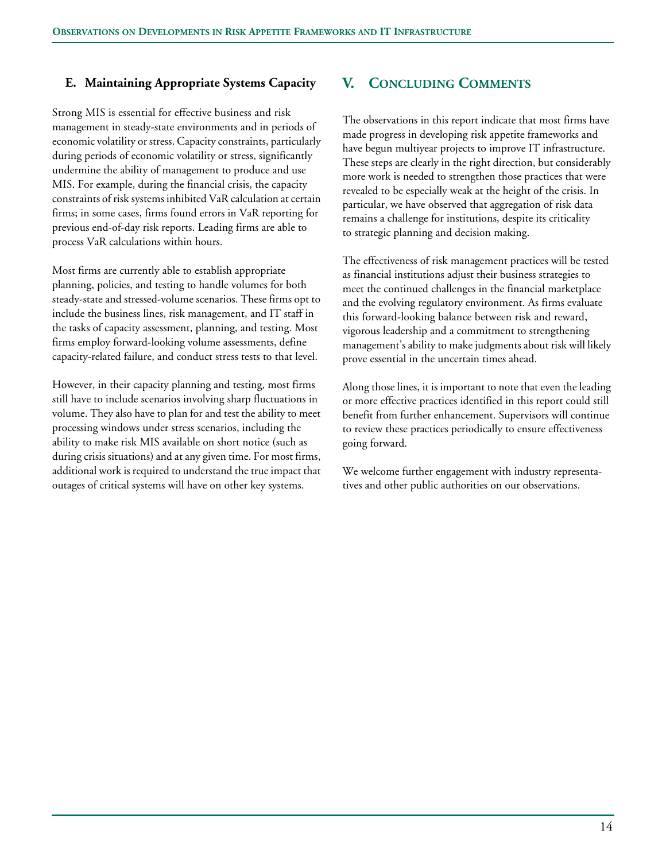## **E. Maintaining Appropriate Systems Capacity**

Strong MIS is essential for effective business and risk management in steady-state environments and in periods of economic volatility or stress. Capacity constraints, particularly during periods of economic volatility or stress, significantly undermine the ability of management to produce and use MIS. For example, during the financial crisis, the capacity constraints of risk systems inhibited VaR calculation at certain firms; in some cases, firms found errors in VaR reporting for previous end-of-day risk reports. Leading firms are able to process VaR calculations within hours.

Most firms are currently able to establish appropriate planning, policies, and testing to handle volumes for both steady-state and stressed-volume scenarios. These firms opt to include the business lines, risk management, and IT staff in the tasks of capacity assessment, planning, and testing. Most firms employ forward-looking volume assessments, define capacity-related failure, and conduct stress tests to that level.

However, in their capacity planning and testing, most firms still have to include scenarios involving sharp fluctuations in volume. They also have to plan for and test the ability to meet processing windows under stress scenarios, including the ability to make risk MIS available on short notice (such as during crisis situations) and at any given time. For most firms, additional work is required to understand the true impact that outages of critical systems will have on other key systems.

# **V. CONCLUDING COMMENTS**

The observations in this report indicate that most firms have made progress in developing risk appetite frameworks and have begun multiyear projects to improve IT infrastructure. These steps are clearly in the right direction, but considerably more work is needed to strengthen those practices that were revealed to be especially weak at the height of the crisis. In particular, we have observed that aggregation of risk data remains a challenge for institutions, despite its criticality to strategic planning and decision making.

The effectiveness of risk management practices will be tested as financial institutions adjust their business strategies to meet the continued challenges in the financial marketplace and the evolving regulatory environment. As firms evaluate this forward-looking balance between risk and reward, vigorous leadership and a commitment to strengthening management's ability to make judgments about risk will likely prove essential in the uncertain times ahead.

Along those lines, it is important to note that even the leading or more effective practices identified in this report could still benefit from further enhancement. Supervisors will continue to review these practices periodically to ensure effectiveness going forward.

We welcome further engagement with industry representatives and other public authorities on our observations.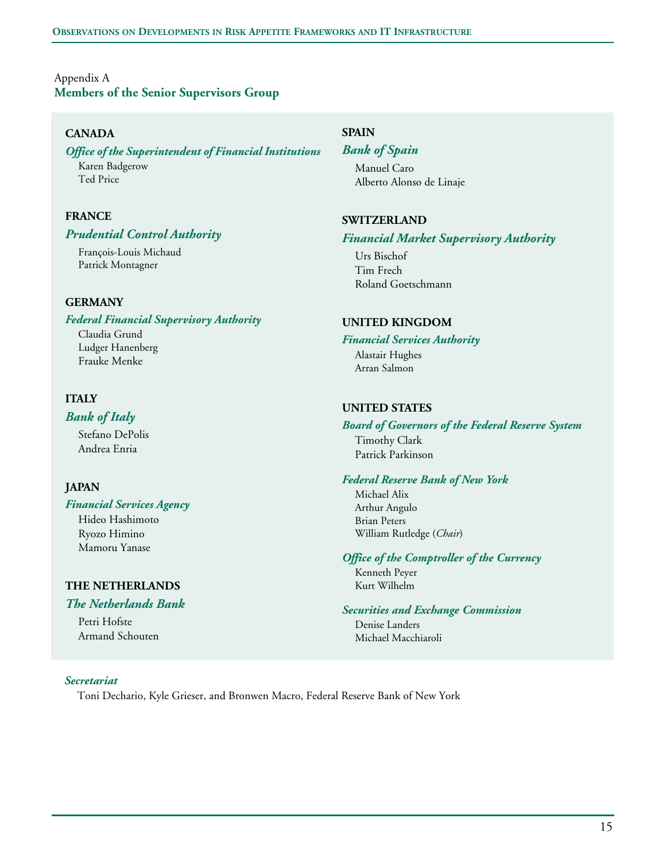# Appendix A **Members of the Senior Supervisors Group**

## **CANADA**

## *Office of the Superintendent of Financial Institutions*

Karen Badgerow Ted Price

## **FRANCE**

### *Prudential Control Authority*

François-Louis Michaud Patrick Montagner

### **GERMANY**

#### *Federal Financial Supervisory Authority*

Claudia Grund Ludger Hanenberg Frauke Menke

## **ITALY**

### *Bank of Italy*

Stefano DePolis Andrea Enria

## **JAPAN**

#### *Financial Services Agency* Hideo Hashimoto

Ryozo Himino Mamoru Yanase

## **THE NETHERLANDS**

## *The Netherlands Bank*

Petri Hofste Armand Schouten

## **SPAIN**

# *Bank of Spain*

Manuel Caro Alberto Alonso de Linaje

### **SWITZERLAND**

#### *Financial Market Supervisory Authority*

Urs Bischof Tim Frech Roland Goetschmann

### **UNITED KINGDOM**

#### *Financial Services Authority*

Alastair Hughes Arran Salmon

### **UNITED STATES**

#### *Board of Governors of the Federal Reserve System* Timothy Clark Patrick Parkinson

### *Federal Reserve Bank of New York*

Michael Alix Arthur Angulo Brian Peters William Rutledge (*Chair*)

#### *Office of the Comptroller of the Currency*

Kenneth Peyer Kurt Wilhelm

#### *Securities and Exchange Commission*

Denise Landers Michael Macchiaroli

#### *Secretariat*

Toni Dechario, Kyle Grieser, and Bronwen Macro, Federal Reserve Bank of New York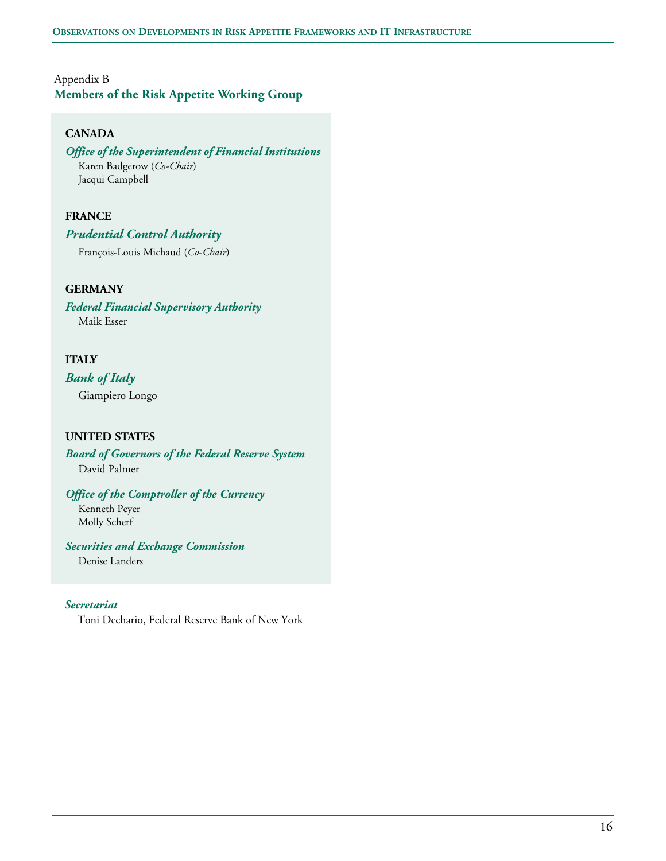# Appendix B **Members of the Risk Appetite Working Group**

## **CANADA**

#### *Office of the Superintendent of Financial Institutions*  Karen Badgerow (*Co-Chair*) Jacqui Campbell

## **FRANCE**

### *Prudential Control Authority*

François-Louis Michaud (*Co-Chair*)

## **GERMANY**

*Federal Financial Supervisory Authority* Maik Esser

## **ITALY**

*Bank of Italy*

Giampiero Longo

## **UNITED STATES**

*Board of Governors of the Federal Reserve System* David Palmer

*Office of the Comptroller of the Currency* Kenneth Peyer

Molly Scherf

*Securities and Exchange Commission*

Denise Landers

### *Secretariat*

Toni Dechario, Federal Reserve Bank of New York